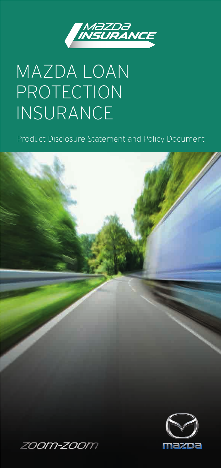

### MAZDA LOAN PROTECTION INSURANCE

Product Disclosure Statement and Policy Document

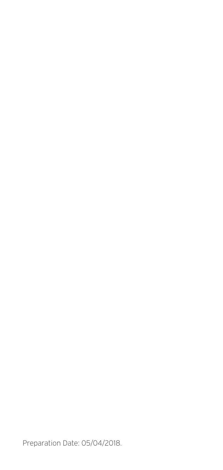Preparation Date: 05/04/2018.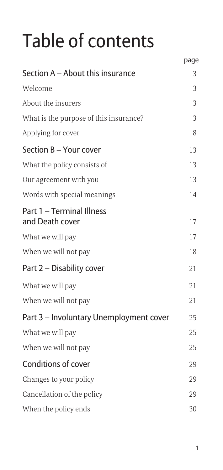## Table of contents

|                                              | page |
|----------------------------------------------|------|
| Section A – About this insurance             | 3    |
| Welcome                                      | 3    |
| About the insurers                           | 3    |
| What is the purpose of this insurance?       | 3    |
| Applying for cover                           | 8    |
| Section B - Your cover                       | 13   |
| What the policy consists of                  | 13   |
| Our agreement with you                       | 13   |
| Words with special meanings                  | 14   |
| Part 1 - Terminal Illness<br>and Death cover | 17   |
| What we will pay                             | 17   |
| When we will not pay                         | 18   |
| Part 2 – Disability cover                    | 21   |
| What we will pay                             | 21   |
| When we will not pay                         | 21   |
| Part 3 - Involuntary Unemployment cover      | 25   |
| What we will pay                             | 25   |
| When we will not pay                         | 25   |
| <b>Conditions of cover</b>                   | 29   |
| Changes to your policy                       | 29   |
| Cancellation of the policy                   | 29   |
| When the policy ends                         | 30   |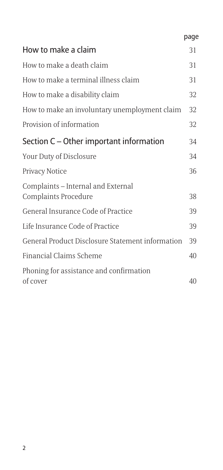|                                                            | page |
|------------------------------------------------------------|------|
| How to make a claim                                        | 31   |
| How to make a death claim                                  | 31   |
| How to make a terminal illness claim                       | 31   |
| How to make a disability claim                             | 32   |
| How to make an involuntary unemployment claim              | 32   |
| Provision of information                                   | 32   |
| Section C – Other important information                    | 34   |
| Your Duty of Disclosure                                    | 34   |
| Privacy Notice                                             | 36   |
| Complaints - Internal and External                         | 38   |
| Complaints Procedure<br>General Insurance Code of Practice | 39   |
|                                                            |      |
| Life Insurance Code of Practice                            | 39   |
| General Product Disclosure Statement information           | 39   |
| Financial Claims Scheme                                    | 40   |
| Phoning for assistance and confirmation<br>of cover        | 40   |
|                                                            |      |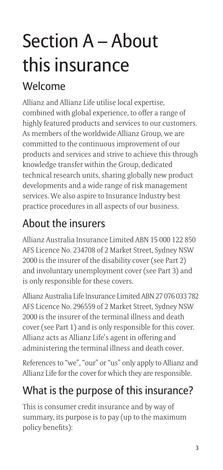## Section A – About this insurance

#### Welcome

Allianz and Allianz Life utilise local expertise, combined with global experience, to offer a range of highly featured products and services to our customers. As members of the worldwide Allianz Group, we are committed to the continuous improvement of our products and services and strive to achieve this through knowledge transfer within the Group, dedicated technical research units, sharing globally new product developments and a wide range of risk management services. We also aspire to Insurance Industry best practice procedures in all aspects of our business.

#### About the insurers

Allianz Australia Insurance Limited ABN 15 000 122 850 AFS Licence No. 234708 of 2 Market Street, Sydney NSW 2000 is the insurer of the disability cover (see Part 2) and involuntary unemployment cover (see Part 3) and is only responsible for these covers.

Allianz Australia Life Insurance Limited ABN 27 076 033 782 AFS Licence No. 296559 of 2 Market Street, Sydney NSW 2000 is the insurer of the terminal illness and death cover (see Part 1) and is only responsible for this cover. Allianz acts as Allianz Life's agent in offering and administering the terminal illness and death cover.

References to "we", "our" or "us" only apply to Allianz and Allianz Life for the cover for which they are responsible.

#### What is the purpose of this insurance?

This is consumer credit insurance and by way of summary, its purpose is to pay (up to the maximum policy benefits):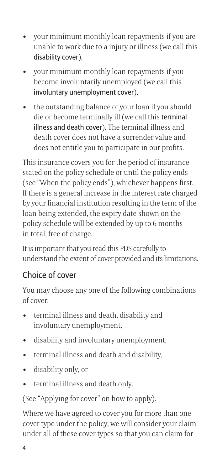- your minimum monthly loan repayments if you are<br>unable to work due to a injury or illness (we call this<br>disability cover),<br>• your minimum monthly loan repayments if you<br>become involuntarily unemployed (we call this<br>invol unable to work due to a injury or illness (we call this disability cover),
- become involuntarily unemployed (we call this involuntary unemployment cover),
- your minimum monthly loan repayments if you<br>unable to work due to a injury or illness (we call<br>disability cover),<br>• your minimum monthly loan repayments if you<br>become involuntarily unemployed (we call this<br>involuntary un • your minimum monthly loan repayments if you ar<br>unable to work due to a injury or illness (we call th<br>disability cover),<br>• your minimum monthly loan repayments if you<br>become involuntarily unemployed (we call this<br>involun die or become terminally ill (we call this terminal illness and death cover). The terminal illness and death cover does not have a surrender value and does not entitle you to participate in our profits.

This insurance covers you for the period of insurance stated on the policy schedule or until the policy ends (see "When the policy ends"), whichever happens first. If there is a general increase in the interest rate charged by your financial institution resulting in the term of the loan being extended, the expiry date shown on the policy schedule will be extended by up to 6 months in total, free of charge. This insurance covers you for the period of in stated on the policy schedule or until the policy ee "When the policy ends"), whichever hap If there is a general increase in the interest ray by your financial institution re (see "When the policy ends"), whichever happ<br>If there is a general increase in the interest rat<br>by your financial institution resulting in the te<br>loan being extended, the expiry date shown or<br>policy schedule will be extend by your financial institution resulting in the<br>boan being extended, the expiry date shown replicy schedule will be extended by up to 6 n<br>in total, free of charge.<br>It is important that you read this PDS carefully t<br>understa • disability only, or

It is important that you read this PDS carefully to understand the extent of cover provided and its limitations.

#### Choice of cover

You may choose any one of the following combinations of cover:

- involuntary unemployment,
- 
- 
- 
- 

(See "Applying for cover" on how to apply).

From the calculation of the policy sender when the calculation in total, free of charge.<br>
It is important that you read this PDS<br>
understand the extent of cover provide<br> **Choice of cover**<br>
You may choose any one of the fol Where we have agreed to cover you for more than one cover type under the policy, we will consider your claim under all of these cover types so that you can claim for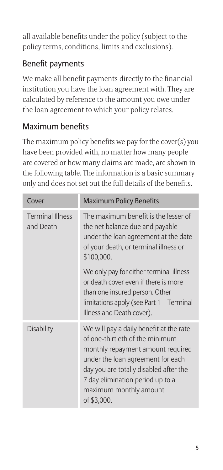all available benefits under the policy (subject to the policy terms, conditions, limits and exclusions).

#### Benefit payments

We make all benefit payments directly to the financial institution you have the loan agreement with. They are calculated by reference to the amount you owe under the loan agreement to which your policy relates.

#### Maximum benefits

The maximum policy benefits we pay for the cover(s) you have been provided with, no matter how many people are covered or how many claims are made, are shown in the following table. The information is a basic summary only and does not set out the full details of the benefits.

| Cover                                | <b>Maximum Policy Benefits</b>                                                                                                                                                                                                                                              |
|--------------------------------------|-----------------------------------------------------------------------------------------------------------------------------------------------------------------------------------------------------------------------------------------------------------------------------|
| <b>Terminal Illness</b><br>and Death | The maximum benefit is the lesser of<br>the net balance due and payable<br>under the loan agreement at the date<br>of your death, or terminal illness or<br>\$100,000.                                                                                                      |
|                                      | We only pay for either terminal illness<br>or death cover even if there is more<br>than one insured person. Other<br>limitations apply (see Part 1 - Terminal<br>Illness and Death cover).                                                                                  |
| <b>Disability</b>                    | We will pay a daily benefit at the rate<br>of one-thirtieth of the minimum<br>monthly repayment amount required<br>under the loan agreement for each<br>day you are totally disabled after the<br>7 day elimination period up to a<br>maximum monthly amount<br>of \$3,000. |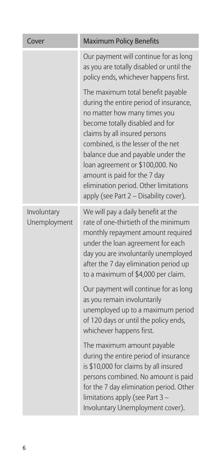| Cover                       | <b>Maximum Policy Benefits</b>                                                                                                                                                                                                                                                                                                                                                                                   |
|-----------------------------|------------------------------------------------------------------------------------------------------------------------------------------------------------------------------------------------------------------------------------------------------------------------------------------------------------------------------------------------------------------------------------------------------------------|
|                             | Our payment will continue for as long<br>as you are totally disabled or until the<br>policy ends, whichever happens first.                                                                                                                                                                                                                                                                                       |
|                             | The maximum total benefit payable<br>during the entire period of insurance,<br>no matter how many times you<br>become totally disabled and for<br>claims by all insured persons<br>combined, is the lesser of the net<br>balance due and payable under the<br>loan agreement or \$100,000. No<br>amount is paid for the 7 day<br>elimination period. Other limitations<br>apply (see Part 2 - Disability cover). |
| Involuntary<br>Unemployment | We will pay a daily benefit at the<br>rate of one-thirtieth of the minimum<br>monthly repayment amount required<br>under the loan agreement for each<br>day you are involuntarily unemployed<br>after the 7 day elimination period up<br>to a maximum of \$4,000 per claim.                                                                                                                                      |
|                             | Our payment will continue for as long<br>as you remain involuntarily<br>unemployed up to a maximum period<br>of 120 days or until the policy ends,<br>whichever happens first.                                                                                                                                                                                                                                   |
|                             | The maximum amount payable<br>during the entire period of insurance<br>is \$10,000 for claims by all insured<br>persons combined. No amount is paid<br>for the 7 day elimination period. Other<br>limitations apply (see Part 3 -<br>Involuntary Unemployment cover).                                                                                                                                            |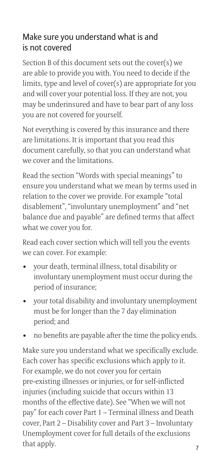#### Make sure you understand what is and is not covered

Section B of this document sets out the cover(s) we are able to provide you with. You need to decide if the limits, type and level of cover(s) are appropriate for you and will cover your potential loss. If they are not, you may be underinsured and have to bear part of any loss you are not covered for yourself.

Not everything is covered by this insurance and there are limitations. It is important that you read this document carefully, so that you can understand what we cover and the limitations.

Read the section "Words with special meanings" to ensure you understand what we mean by terms used in relation to the cover we provide. For example "total disablement", "involuntary unemployment" and "net balance due and payable" are defined terms that affect what we cover you for. vou are not covered for yourself.<br>
Not everything is covered by this insurance and tlare limitations. It is important that you read this<br>
document carefully, so that you can understand v<br>
we cover and the limitations.<br>
Rea • Comment carefully, so that you can understand what<br>twe cover and the limitations.<br>Read the section "Words with special meanings" to<br>ensure you understand what we mean by terms used in<br>relation to the cover we provide. Fo

Read each cover section which will tell you the events we can cover. For example:

- involuntary unemployment must occur during the period of insurance;
- must be for longer than the 7 day elimination period; and
- no benefits are payable after the time the policy ends.

Make sure you understand what we specifically exclude. Each cover has specific exclusions which apply to it. For example, we do not cover you for certain pre-existing illnesses or injuries, or for self-inflicted injuries (including suicide that occurs within 13 months of the effective date). See "When we will not pay" for each cover Part 1 - Terminal illness and Death cover, Part 2 – Disability cover and Part 3 – Involuntary Unemployment cover for full details of the exclusions that apply.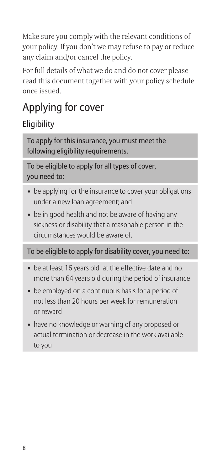Make sure you comply with the relevant conditions of your policy. If you don't we may refuse to pay or reduce any claim and/or cancel the policy.

For full details of what we do and do not cover please read this document together with your policy schedule once issued.

#### Applying for cover

#### **Eligibility**

To apply for this insurance, you must meet the following eligibility requirements.

To be eligible to apply for all types of cover, you need to:

- be applying for the insurance to cover your obligations under a new loan agreement; and
- be in good health and not be aware of having any sickness or disability that a reasonable person in the circumstances would be aware of.

#### To be eligible to apply for disability cover, you need to:

- be at least 16 years old at the effective date and no more than 64 years old during the period of insurance
- be employed on a continuous basis for a period of not less than 20 hours per week for remuneration or reward
- have no knowledge or warning of any proposed or actual termination or decrease in the work available to you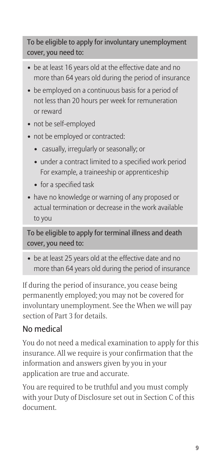To be eligible to apply for involuntary unemployment cover, you need to:

- be at least 16 years old at the effective date and no more than 64 years old during the period of insurance
- be employed on a continuous basis for a period of not less than 20 hours per week for remuneration or reward
- not be self-employed
- not be employed or contracted:
	- casually, irregularly or seasonally; or
	- under a contract limited to a specified work period For example, a traineeship or apprenticeship
	- for a specified task
- have no knowledge or warning of any proposed or actual termination or decrease in the work available to you

To be eligible to apply for terminal illness and death cover, you need to:

• be at least 25 years old at the effective date and no more than 64 years old during the period of insurance

If during the period of insurance, you cease being permanently employed; you may not be covered for involuntary unemployment. See the When we will pay section of Part 3 for details.

#### No medical

You do not need a medical examination to apply for this insurance. All we require is your confirmation that the information and answers given by you in your application are true and accurate.

You are required to be truthful and you must comply with your Duty of Disclosure set out in Section C of this document.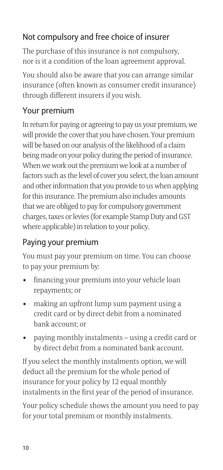#### Not compulsory and free choice of insurer

The purchase of this insurance is not compulsory, nor is it a condition of the loan agreement approval.

You should also be aware that you can arrange similar insurance (often known as consumer credit insurance) through different insurers if you wish.

#### Your premium

In return for paying or agreeing to pay us your premium, we will provide the cover that you have chosen. Your premium will be based on our analysis of the likelihood of a claim being made on your policy during the period of insurance. When we work out the premium we look at a number of factors such as the level of cover you select, the loan amount and other information that you provide to us when applying for this insurance. The premium also includes amounts that we are obliged to pay for compulsory government charges, taxes or levies (for example Stamp Duty and GST where applicable) in relation to your policy. In return for paying or agreeing to pay us your premiu<br>
will provide the cover that you have chosen. Your pren<br>
will be based on our analysis of the likelihood of a clain<br>
being made on your policy during the period of ins will be based off our analysis of the likelihood of a claim<br>being made on your policy during the period of insura<br>When we work out the premium we look at a number<br>factors such as the level of cover you select, the loan ar<br> and other information that you provide to us when applying<br>for this insurance. The premium also includes amounts<br>that we are obliged to pay for compulsory government<br>charges, taxes or levies (for example Stamp Duty and GST

#### Paying your premium

You must pay your premium on time. You can choose to pay your premium by:

- repayments; or
- credit card or by direct debit from a nominated bank account; or
- by direct debit from a nominated bank account.

If you select the monthly instalments option, we will deduct all the premium for the whole period of insurance for your policy by 12 equal monthly instalments in the first year of the period of insurance.

Your policy schedule shows the amount you need to pay for your total premium or monthly instalments.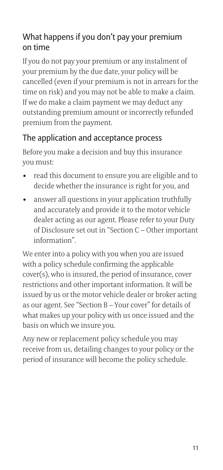#### What happens if you don't pay your premium on time

If you do not pay your premium or any instalment of your premium by the due date, your policy will be cancelled (even if your premium is not in arrears for the time on risk) and you may not be able to make a claim. If we do make a claim payment we may deduct any outstanding premium amount or incorrectly refunded premium from the payment. **What happens if you don't pay your premium**<br>on time<br>If you do not pay your premium or any instalment of<br>your premium by the due date, your policy will be<br>cancelled (even if your premium is not in arrears for the<br>time on **From time**<br>
• The solution of pay your premium or any instalment of<br>
From do not pay your premium is not in arrears for t<br>
time on risk) and you may not be able to make a clain<br>
fl free do make a claim payment we may dedu

#### The application and acceptance process

Before you make a decision and buy this insurance you must:

- decide whether the insurance is right for you, and
- and accurately and provide it to the motor vehicle dealer acting as our agent. Please refer to your Duty of Disclosure set out in "Section C – Other important information".

We enter into a policy with you when you are issued with a policy schedule confirming the applicable cover(s), who is insured, the period of insurance, cover restrictions and other important information. It will be issued by us or the motor vehicle dealer or broker acting as our agent. See "Section B – Your cover" for details of what makes up your policy with us once issued and the basis on which we insure you.

Any new or replacement policy schedule you may receive from us, detailing changes to your policy or the period of insurance will become the policy schedule.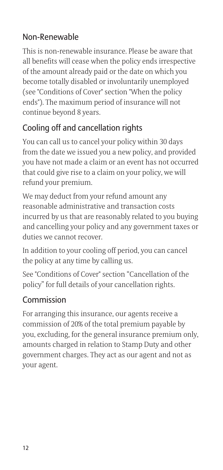#### Non-Renewable

This is non-renewable insurance. Please be aware that all benefits will cease when the policy ends irrespective of the amount already paid or the date on which you become totally disabled or involuntarily unemployed (see "Conditions of Cover" section "When the policy ends"). The maximum period of insurance will not continue beyond 8 years.

#### Cooling off and cancellation rights

You can call us to cancel your policy within 30 days from the date we issued you a new policy, and provided you have not made a claim or an event has not occurred that could give rise to a claim on your policy, we will refund your premium.

We may deduct from your refund amount any reasonable administrative and transaction costs incurred by us that are reasonably related to you buying and cancelling your policy and any government taxes or duties we cannot recover.

In addition to your cooling off period, you can cancel the policy at any time by calling us.

See "Conditions of Cover" section "Cancellation of the policy" for full details of your cancellation rights.

#### Commission

For arranging this insurance, our agents receive a commission of 20% of the total premium payable by you, excluding, for the general insurance premium only, amounts charged in relation to Stamp Duty and other government charges. They act as our agent and not as your agent.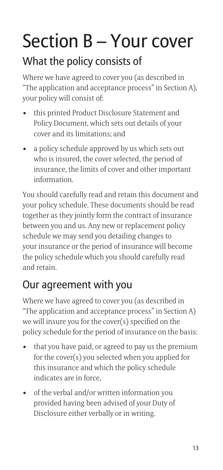# Section B – Your cover What the policy consists of **Section B — Your cover**<br>
What the policy consists of<br>
Where we have agreed to cover you (as described if<br>
"The application and acceptance process" in Section<br>
your policy will consist of:<br>
• this printed Product Disclosu

Where we have agreed to cover you (as described in "The application and acceptance process" in Section A), your policy will consist of:

- Policy Document, which sets out details of your cover and its limitations; and
- **Section B Your cover**<br>
What the policy consists of<br>
where we have agreed to cover you (as described in<br>
"The application and acceptance process" in Section<br>
your policy will consist of:<br>
 this printed Product Disclosu who is insured, the cover selected, the period of insurance, the limits of cover and other important information.

You should carefully read and retain this document and your policy schedule. These documents should be read together as they jointly form the contract of insurance between you and us. Any new or replacement policy schedule we may send you detailing changes to your insurance or the period of insurance will become the policy schedule which you should carefully read and retain. You should carefully read and retain this document and<br>your policy schedule. These documents should be read<br>together as they jointly form the contract of insurance<br>between you and us. Any new or replacement policy<br>schedule

#### Our agreement with you

Where we have agreed to cover you (as described in "The application and acceptance process" in Section A) we will insure you for the cover(s) specified on the policy schedule for the period of insurance on the basis: schedule we may send you detailing changes to<br>your insurance or the period of insurance will bo<br>the policy schedule which you should carefully i<br>and retain.<br>**Our agreement with you**<br>Where we have agreed to cover you (as de

- for the cover(s) you selected when you applied for this insurance and which the policy schedule indicates are in force,
- provided having been advised of your Duty of Disclosure either verbally or in writing.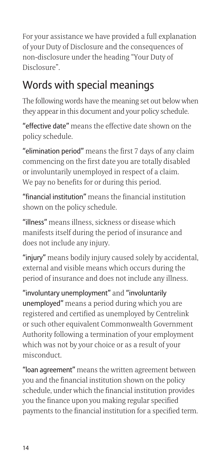For your assistance we have provided a full explanation of your Duty of Disclosure and the consequences of non-disclosure under the heading "Your Duty of Disclosure".

#### Words with special meanings

The following words have the meaning set out below when they appear in this document and your policy schedule.

"effective date" means the effective date shown on the policy schedule.

"elimination period" means the first 7 days of any claim commencing on the first date you are totally disabled or involuntarily unemployed in respect of a claim. We pay no benefits for or during this period.

"financial institution" means the financial institution shown on the policy schedule.

"illness" means illness, sickness or disease which manifests itself during the period of insurance and does not include any injury.

"injury" means bodily injury caused solely by accidental, external and visible means which occurs during the period of insurance and does not include any illness.

"involuntary unemployment" and "involuntarily unemployed" means a period during which you are registered and certified as unemployed by Centrelink or such other equivalent Commonwealth Government Authority following a termination of your employment which was not by your choice or as a result of your misconduct.

"loan agreement" means the written agreement between you and the financial institution shown on the policy schedule, under which the financial institution provides you the finance upon you making regular specified payments to the financial institution for a specified term.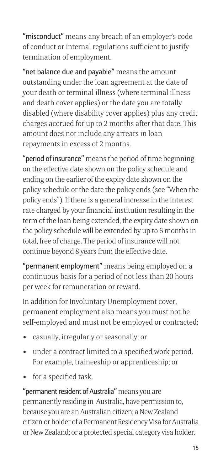"misconduct" means any breach of an employer's code of conduct or internal regulations sufficient to justify termination of employment.

"net balance due and payable" means the amount outstanding under the loan agreement at the date of your death or terminal illness (where terminal illness and death cover applies) or the date you are totally disabled (where disability cover applies) plus any credit charges accrued for up to 2 months after that date. This amount does not include any arrears in loan repayments in excess of 2 months.

"period of insurance" means the period of time beginning on the effective date shown on the policy schedule and ending on the earlier of the expiry date shown on the policy schedule or the date the policy ends (see "When the policy ends"). If there is a general increase in the interest rate charged by your financial institution resulting in the term of the loan being extended, the expiry date shown on the policy schedule will be extended by up to 6 months in total, free of charge. The period of insurance will not continue beyond 8 years from the effective date. ending on the earlier of the expiry date st<br>policy schedule or the date the policy end<br>policy ends"). If there is a general increas<br>rate charged by your financial institution<br>term of the loan being extended, the expi<br>the p

"permanent employment" means being employed on a continuous basis for a period of not less than 20 hours per week for remuneration or reward.

In addition for Involuntary Unemployment cover, permanent employment also means you must not be self-employed and must not be employed or contracted:

- 
- under a contract limited to a specified work period. For example, traineeship or apprenticeship; or
- 

term of the loan being e<br>the policy schedule will<br>total, free of charge. The<br>continue beyond 8 year<br>"**permanent employme**<br>continuous basis for a<br>per week for remunera<br>In addition for Involun<br>permanent employme<br>self-employe "permanent resident of Australia" means you are permanently residing in Australia, have permission to, because you are an Australian citizen; a New Zealand citizen or holder of a Permanent Residency Visa for Australia or New Zealand; or a protected special category visa holder.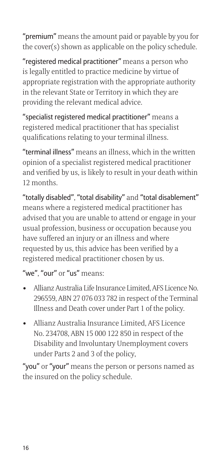"premium" means the amount paid or payable by you for the cover(s) shown as applicable on the policy schedule.

"registered medical practitioner" means a person who is legally entitled to practice medicine by virtue of appropriate registration with the appropriate authority in the relevant State or Territory in which they are providing the relevant medical advice.

"specialist registered medical practitioner" means a registered medical practitioner that has specialist qualifications relating to your terminal illness.

"terminal illness" means an illness, which in the written opinion of a specialist registered medical practitioner and verified by us, is likely to result in your death within 12 months.

"totally disabled", "total disability" and "total disablement" means where a registered medical practitioner has advised that you are unable to attend or engage in your usual profession, business or occupation because you have suffered an injury or an illness and where requested by us, this advice has been verified by a registered medical practitioner chosen by us. of the state of the point of the point of the state of the state of the state of the state of the state of the state of the state of the state of the state of the state of the state of the state of the state of the state o

"we", "our" or "us" means:

- Allianz Australia Life Insurance Limited, AFS Licence No. 296559, ABN 27 076 033 782 in respect of the Terminal Illness and Death cover under Part 1 of the policy.
- No. 234708, ABN 15 000 122 850 in respect of the Disability and Involuntary Unemployment covers under Parts 2 and 3 of the policy,

"you" or "your" means the person or persons named as the insured on the policy schedule.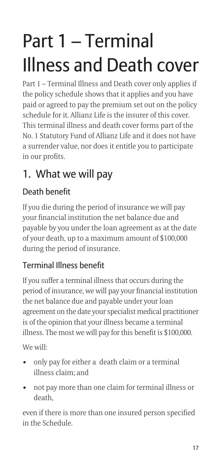## Part 1 – Terminal Illness and Death cover

Part 1 – Terminal Illness and Death cover only applies if the policy schedule shows that it applies and you have paid or agreed to pay the premium set out on the policy schedule for it. Allianz Life is the insurer of this cover. This terminal illness and death cover forms part of the No. 1 Statutory Fund of Allianz Life and it does not have a surrender value, nor does it entitle you to participate in our profits.

#### 1. What we will pay

#### Death benefit

If you die during the period of insurance we will pay your financial institution the net balance due and payable by you under the loan agreement as at the date of your death, up to a maximum amount of \$100,000 during the period of insurance.

#### Terminal Illness benefit

If you suffer a terminal illness that occurs during the period of insurance, we will pay your financial institution the net balance due and payable under your loan agreement on the date your specialist medical practitioner is of the opinion that your illness became a terminal illness. The most we will pay for this benefit is \$100,000. If you die during the period of insurance we will prour financial institution the net balance due and<br>payable by you under the loan agreement as at the<br>of your death, up to a maximum amount of \$100,0<br>during the period of i by you didel the loan agreement as at the data of your death, up to a maximum amount of \$100,000 during the period of insurance.<br> **Terminal Illness benefit**<br>
If you suffer a terminal illness that occurs during the<br>
period

We will:

- illness claim; and
- death,

even if there is more than one insured person specified in the Schedule.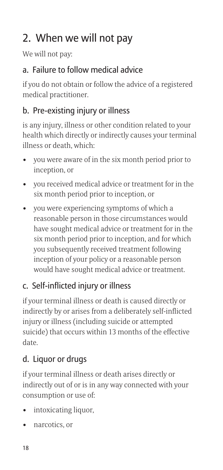#### 2. When we will not pay

We will not pay:

#### a. Failure to follow medical advice

if you do not obtain or follow the advice of a registered medical practitioner.

#### b. Pre-existing injury or illness

is any injury, illness or other condition related to your health which directly or indirectly causes your terminal illness or death, which: **2. When we will not pay**<br> **2. When we will not pay**<br> **a. Failure to follow medical advice**<br>
if you do not obtain or follow the advice of a registere<br>
medical practitioner.<br> **b. Pre-existing injury or illness**<br>
is any inju

- inception, or
- six month period prior to inception, or
- **2. When we will not pay**<br>
We will not pay:<br> **a. Failure to follow medical advice**<br>
if you do not obtain or follow the advice of a registered<br>
medical practitioner.<br> **b. Pre-existing injury or illness**<br>
is any injury, illn We will not pay:<br> **a. Failure to follow medical advice**<br>
if you do not obtain or follow the advice of a regi<br>
medical practitioner.<br> **b. Pre-existing injury or illness**<br>
is any injury, illness or other condition related to reasonable person in those circumstances would have sought medical advice or treatment for in the six month period prior to inception, and for which you subsequently received treatment following inception of your policy or a reasonable person would have sought medical advice or treatment.

#### c. Self-inflicted injury or illness

if your terminal illness or death is caused directly or indirectly by or arises from a deliberately self-inflicted injury or illness (including suicide or attempted suicide) that occurs within 13 months of the effective date. Franception of your process inception of your provided have sought<br> **c.** Self-inflicted injure if your terminal illness<br>
indirectly by or arises f<br>
injury or illness (includ<br>
suicide) that occurs wi<br>
date.<br> **d. Liquor or d** would have :<br> **c.** Self-inflicte<br>
if your terminal<br>
indirectly by or :<br>
injury or illness<br>
suicide) that occ<br>
date.<br> **d.** Liquor or due if your terminal<br>
indirectly out of<br>
consumption or<br>
• intoxicating<br>
• narcotics, or<br>

#### d. Liquor or drugs

if your terminal illness or death arises directly or indirectly out of or is in any way connected with your consumption or use of:

- 
-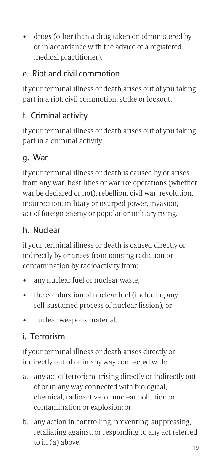• drugs (other than a drug taken or administered by<br>or in accordance with the advice of a registered<br>medical practitioner).<br>**e. Riot and civil commotion**<br>if your terminal illness or death arises out of you taking or in accordance with the advice of a registered medical practitioner).

#### e. Riot and civil commotion

if your terminal illness or death arises out of you taking part in a riot, civil commotion, strike or lockout.

#### f. Criminal activity

if your terminal illness or death arises out of you taking part in a criminal activity.

#### g. War

if your terminal illness or death is caused by or arises from any war, hostilities or warlike operations (whether war be declared or not), rebellion, civil war, revolution, insurrection, military or usurped power, invasion, act of foreign enemy or popular or military rising. if your terminal illness or death arise:<br>part in a criminal activity.<br>**g. War**<br>if your terminal illness or death is cat<br>from any war, hostilities or warlike op<br>war be declared or not), rebellion, civ<br>insurrection, military 9. War<br>
19. War<br>
19. War<br>
11 your terminal illness or death is caused by or ar<br>
16 your terminal illness or death is caused by or ar<br>
16 your terminal illness or death is caused power, invasion,<br>
16 act of foreign enemy or From any war, hostilities or deat<br>from any war, hostilities or wa<br>war be declared or not), rebell<br>insurrection, military or usurp<br>act of foreign enemy or popula<br>**h. Nuclear**<br>if your terminal illness or deat<br>indirectly by o

#### h. Nuclear

if your terminal illness or death is caused directly or indirectly by or arises from ionising radiation or contamination by radioactivity from:

- 
- self-sustained process of nuclear fission), or
- 

#### i. Terrorism

if your terminal illness or death arises directly or indirectly out of or in any way connected with:

- **h. Nuclear**<br>if your terminal illness or death is caused directly or<br>indirectly by or arises from ionising radiation or<br>contamination by radioactivity from:<br>**•** any nuclear fuel or nuclear waste,<br>**•** the combustion of nucl of or in any way connected with biological, chemical, radioactive, or nuclear pollution or contamination or explosion; or contamination by radioactivity from:<br>
• any nuclear fuel or nuclear waste,<br>
• the combustion of nuclear fuel (including any<br>
self-sustained process of nuclear fission), or<br>
• nuclear weapons material.<br>
i. Terrorism<br>
if you
- retaliating against, or responding to any act referred to in  $(a)$  above.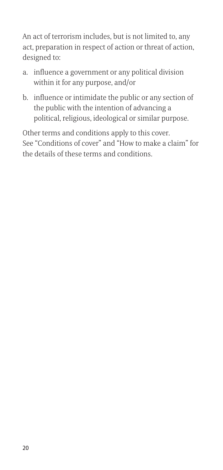An act of terrorism includes, but is not limited to, any act, preparation in respect of action or threat of action, designed to: An act of terrorism includes, but is not limited to, an act, preparation in respect of action or threat of action division division or any political division within it for any purpose, and/or b. influence or intimidate the An act of terrorism includes, but is not limited to, any<br>act, preparation in respect of action or threat of action<br>designed to:<br>a. influence a government or any political division<br>within it for any purpose, and/or<br>b. influ

- within it for any purpose, and/or
- the public with the intention of advancing a political, religious, ideological or similar purpose.

Other terms and conditions apply to this cover. See "Conditions of cover" and "How to make a claim" for the details of these terms and conditions.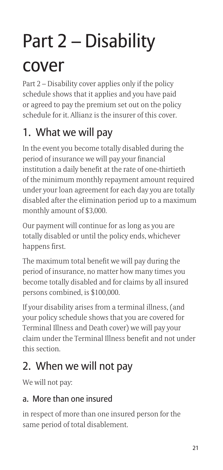## Part 2 – Disability cover

Part 2 – Disability cover applies only if the policy schedule shows that it applies and you have paid or agreed to pay the premium set out on the policy schedule for it. Allianz is the insurer of this cover.

#### 1. What we will pay

In the event you become totally disabled during the period of insurance we will pay your financial institution a daily benefit at the rate of one-thirtieth of the minimum monthly repayment amount required under your loan agreement for each day you are totally disabled after the elimination period up to a maximum monthly amount of \$3,000.

Our payment will continue for as long as you are totally disabled or until the policy ends, whichever happens first.

The maximum total benefit we will pay during the period of insurance, no matter how many times you become totally disabled and for claims by all insured persons combined, is \$100,000.

If your disability arises from a terminal illness, (and your policy schedule shows that you are covered for Terminal Illness and Death cover) we will pay your claim under the Terminal Illness benefit and not under this section.

#### 2. When we will not pay

We will not pay:

#### a. More than one insured

in respect of more than one insured person for the same period of total disablement.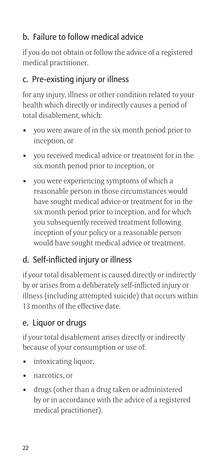#### b. Failure to follow medical advice

if you do not obtain or follow the advice of a registered medical practitioner.

#### c. Pre-existing injury or illness

for any injury, illness or other condition related to your health which directly or indirectly causes a period of total disablement, which: **b.** Failure to follow medical advice<br>if you do not obtain or follow the advice of a registered<br>medical practitioner.<br>**c.** Pre-existing injury or illness<br>for any injury, illness or other condition related to you<br>health whi

- inception, or
- six month period prior to inception, or
- **b.** Failure to follow medical advice<br>if you do not obtain or follow the advice of a registered<br>medical practitioner.<br>**c.** Pre-existing injury or illness<br>for any injury, illness or other condition related to you<br>health whi **b. Failure to follow medical advice**<br>if you do not obtain or follow the advice of a regi<br>medical practitioner.<br>**c. Pre-existing injury or illness**<br>for any injury, illness or other condition related<br>health which directly o reasonable person in those circumstances would have sought medical advice or treatment for in the six month period prior to inception, and for which you subsequently received treatment following inception of your policy or a reasonable person would have sought medical advice or treatment. Fiate sought fields is a state sought field of you subsequently r inception of your p<br>inception of your p<br>would have sought<br>**d. Self-inflicted injur**<br>if your total disableme<br>by or arises from a deli<br>illness (including atte

#### d. Self-inflicted injury or illness

if your total disablement is caused directly or indirectly by or arises from a deliberately self-inflicted injury or illness (including attempted suicide) that occurs within 13 months of the effective date. vou subseque inception of<br>inception of<br>d. Self-inflicte<br>if your total disa<br>by or arises from<br>illness (includin<br>13 months of th<br>e. Liquor or du<br>if your total disa<br>because of your<br>intoxicating<br>narcotics, or<br>drugs (other<br>by o inception of your policy or a reasonable person<br>
would have sought medical advice or treatment<br> **d. Self-inflicted injury or illness**<br>
if your total disablement is caused directly or indire<br>
by or arises from a deliberatel

#### e. Liquor or drugs

if your total disablement arises directly or indirectly because of your consumption or use of:

- 
- 
- by or in accordance with the advice of a registered medical practitioner).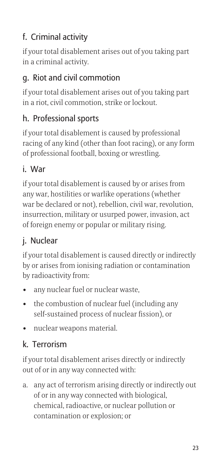#### f. Criminal activity

if your total disablement arises out of you taking part in a criminal activity.

#### g. Riot and civil commotion

if your total disablement arises out of you taking part in a riot, civil commotion, strike or lockout.

#### h. Professional sports

if your total disablement is caused by professional racing of any kind (other than foot racing), or any form of professional football, boxing or wrestling.

#### i. War

if your total disablement is caused by or arises from any war, hostilities or warlike operations (whether war be declared or not), rebellion, civil war, revolution, insurrection, military or usurped power, invasion, act of foreign enemy or popular or military rising. if your total disablement is caused by<br>racing of any kind (other than foot raa<br>of professional football, boxing or wre<br>i. **War**<br>if your total disablement is caused by<br>any war, hostilities or warlike operatie<br>war be declare rating or any land (other than root rating), or any<br>of professional football, boxing or wrestling.<br> **i. War**<br>
if your total disablement is caused by or arises fro<br>
any war, hostilities or warlike operations (whethe<br>
war be **1. Wat**<br>if your total disablement is caany war, hostilities or warlike war be declared or not), rebell<br>insurrection, military or usurp<br>of foreign enemy or popular or<br>**j.** Nuclear<br>if your total disablement is caan<br>by or ar

#### j. Nuclear

if your total disablement is caused directly or indirectly by or arises from ionising radiation or contamination by radioactivity from:

- 
- self-sustained process of nuclear fission), or
- 

#### k. Terrorism

if your total disablement arises directly or indirectly out of or in any way connected with:

**i Altertianary** Considerate the propulation of minitary issing.<br> **j.** Nuclear<br>
arifyour total disablement is caused directly or indirectly<br>
by or arises from ionising radiation or contamination<br>
by radioactivity from:<br> of or in any way connected with biological, chemical, radioactive, or nuclear pollution or contamination or explosion; or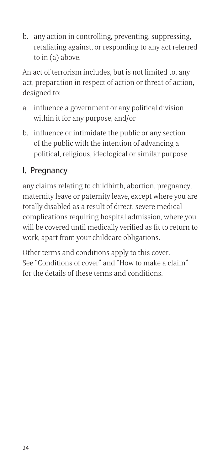retaliating against, or responding to any act referred to in (a) above.

b. any action in controlling, preventing, suppressing,<br>retaliating against, or responding to any act referr-<br>to in (a) above.<br>An act of terrorism includes, but is not limited to, any<br>act, preparation in respect of action o An act of terrorism includes, but is not limited to, any act, preparation in respect of action or threat of action, designed to:

- within it for any purpose, and/or
- b. any action in controlling, preventing, suppressincaliating against, or responding to any act reference to in (a) above.<br>An act of terrorism includes, but is not limited to, an act, preparation in respect of action or th b. any action in controlling, preventing, suppressin<br>retaliating against, or responding to any act refer<br>to in (a) above.<br>An act of terrorism includes, but is not limited to, an<br>act, preparation in respect of action or thr of the public with the intention of advancing a political, religious, ideological or similar purpose.

#### l. Pregnancy

any claims relating to childbirth, abortion, pregnancy, maternity leave or paternity leave, except where you are totally disabled as a result of direct, severe medical complications requiring hospital admission, where you will be covered until medically verified as fit to return to work, apart from your childcare obligations.

Other terms and conditions apply to this cover. See "Conditions of cover" and "How to make a claim" for the details of these terms and conditions.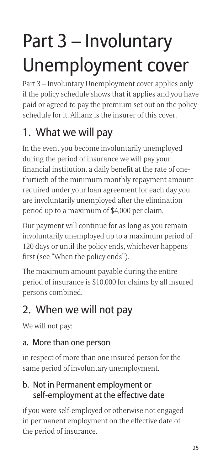## Part 3 – Involuntary Unemployment cover

Part 3 – Involuntary Unemployment cover applies only if the policy schedule shows that it applies and you have paid or agreed to pay the premium set out on the policy schedule for it. Allianz is the insurer of this cover.

#### 1. What we will pay

In the event you become involuntarily unemployed during the period of insurance we will pay your financial institution, a daily benefit at the rate of onethirtieth of the minimum monthly repayment amount required under your loan agreement for each day you are involuntarily unemployed after the elimination period up to a maximum of \$4,000 per claim.

Our payment will continue for as long as you remain involuntarily unemployed up to a maximum period of 120 days or until the policy ends, whichever happens first (see "When the policy ends").

The maximum amount payable during the entire period of insurance is \$10,000 for claims by all insured persons combined.

#### 2. When we will not pay

We will not pay:

#### a. More than one person

in respect of more than one insured person for the same period of involuntary unemployment.

#### b. Not in Permanent employment or self-employment at the effective date

if you were self-employed or otherwise not engaged in permanent employment on the effective date of the period of insurance.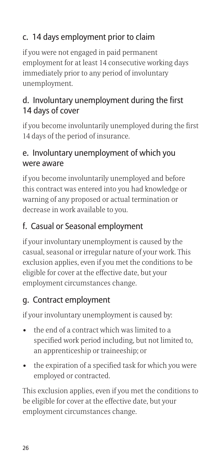#### c. 14 days employment prior to claim

if you were not engaged in paid permanent employment for at least 14 consecutive working days immediately prior to any period of involuntary unemployment.

#### d. Involuntary unemployment during the first 14 days of cover

if you become involuntarily unemployed during the first 14 days of the period of insurance.

#### e. Involuntary unemployment of which you were aware

if you become involuntarily unemployed and before this contract was entered into you had knowledge or warning of any proposed or actual termination or decrease in work available to you.

#### f. Casual or Seasonal employment

if your involuntary unemployment is caused by the casual, seasonal or irregular nature of your work. This exclusion applies, even if you met the conditions to be eligible for cover at the effective date, but your employment circumstances change. if you become involuntarily unemployed and b<br>this contract was entered into you had knowled<br>warning of any proposed or actual termination<br>decrease in work available to you.<br>**f. Casual or Seasonal employment**<br>if your invo decrease in work available to you.<br> **f. Casual or Seasonal employment**<br>
if your involuntary unemployment is caused by the<br>
casual, seasonal or irregular nature of your work. This<br>
exclusion applies, even if you met the con

#### g. Contract employment

if your involuntary unemployment is caused by:

- specified work period including, but not limited to, an apprenticeship or traineeship; or
- employed or contracted.

This exclusion applies, even if you met the conditions to be eligible for cover at the effective date, but your employment circumstances change.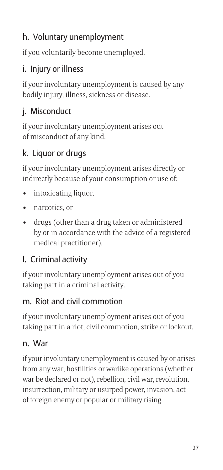#### h. Voluntary unemployment

if you voluntarily become unemployed.

#### i. Injury or illness

if your involuntary unemployment is caused by any bodily injury, illness, sickness or disease.

#### j. Misconduct

if your involuntary unemployment arises out of misconduct of any kind.

#### k. Liquor or drugs

if your involuntary unemployment arises directly or indirectly because of your consumption or use of:

- 
- 
- **h. Voluntary unemp**<br>if you voluntarily becorn<br>**i. Injury or illness**<br>if your involuntary une<br>bodily injury, illness, si<br>**j. Misconduct**<br>if your involuntary une<br>of misconduct of any k<br>**k. Liquor or drugs**<br>if your involunta if you voluntaril<br>
i. Injury or illn<br>
if your involunta<br>
bodily injury, ill:<br>
j. Misconduct<br>
if your involunta<br>
of misconduct c<br>
k. Liquor or dr<br>
if your involunta<br>
indirectly becau<br>
• intoxicating<br>
• arcotics, or<br>
• drugs France is a drawing than a drug taken or ally<br>in the set of your involuntary unemployment is caused by any bodily injury, illness, sickness or disease.<br> **j. Misconduct**<br>
of misconduct of any kind.<br> **k. Liquor or drugs**<br>
of by or in accordance with the advice of a registered medical practitioner).

#### l. Criminal activity

if your involuntary unemployment arises out of you taking part in a criminal activity.

#### m. Riot and civil commotion

if your involuntary unemployment arises out of you taking part in a riot, civil commotion, strike or lockout.

#### n. War

if your involuntary unemployment is caused by or arises from any war, hostilities or warlike operations (whether war be declared or not), rebellion, civil war, revolution, insurrection, military or usurped power, invasion, act of foreign enemy or popular or military rising.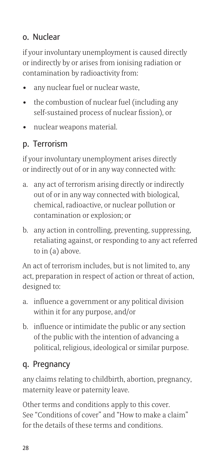#### o. Nuclear

if your involuntary unemployment is caused directly or indirectly by or arises from ionising radiation or contamination by radioactivity from: **• o. Nuclear**<br>if your involuntary unemployment is<br>or indirectly by or arises from ionising<br>contamination by radioactivity from:<br>• any nuclear fuel or nuclear waste,<br>• the combustion of nuclear fuel (ir<br>self-sustained pr % • **O. Nuclear**<br>
if your involuntary unemployment is caused director<br>
or indirectly by or arises from ionising radiation of<br>
contamination by radioactivity from:<br>
• any nuclear fuel or nuclear waste,<br>
• the combustion of **o. Nuclear**<br>if your involuntary unemployr<br>or indirectly by or arises from<br>contamination by radioactivit<br>• any nuclear fuel or nuclear<br>self-sustained process of n<br>• nuclear weapons material.<br>**p. Terrorism**<br>if your involunt

- 
- self-sustained process of nuclear fission), or
- 

#### p. Terrorism

if your involuntary unemployment arises directly or indirectly out of or in any way connected with:

- **a. Nuclear**<br>
if your involuntary unemployment is caused directl<br>
or indirectly by or arises from ionising radiation or<br>
contamination by radioactivity from:<br>
 any nuclear fuel or nuclear waste,<br>
 the combustion of nucle out of or in any way connected with biological, chemical, radioactive, or nuclear pollution or contamination or explosion; or contamination by radioactivity from:<br>
• any nuclear fuel or nuclear waste,<br>
• the combustion of nuclear fuel (including any<br>
self-sustained process of nuclear fission), or<br>
• nuclear weapons material.<br> **p. Terrorism**<br>
if y **p. Terrorism**<br>if your involuntary unemployment arises directly<br>or indirectly out of or in any way connected with:<br>a. any act of terrorism arising directly or indirectly<br>out of or in any way connected with biological,<br>chem or indirectly out of or in any way connected with:<br>
a. any act of terrorism arising directly or indirectly<br>
out of or in any way connected with biological,<br>
chemical, radioactive, or nuclear pollution or<br>
contamination or
- retaliating against, or responding to any act referred to in (a) above.

An act of terrorism includes, but is not limited to, any act, preparation in respect of action or threat of action, designed to:

- within it for any purpose, and/or
- of the public with the intention of advancing a political, religious, ideological or similar purpose.

#### q. Pregnancy

any claims relating to childbirth, abortion, pregnancy, maternity leave or paternity leave.

Other terms and conditions apply to this cover. See "Conditions of cover" and "How to make a claim" for the details of these terms and conditions.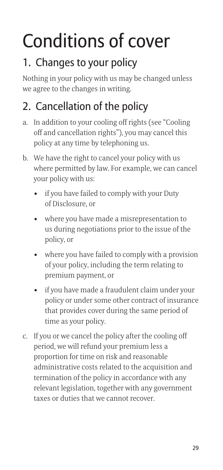## Conditions of cover

#### 1. Changes to your policy

Nothing in your policy with us may be changed unless we agree to the changes in writing.

#### 2. Cancellation of the policy

- off and cancellation rights"), you may cancel this policy at any time by telephoning us.
- **Conditions of cover**<br> **1. Changes to your policy**<br>
Nothing in your policy with us may be changed unles<br>
we agree to the changes in writing.<br> **2. Cancellation of the policy**<br>
a. In addition to your cooling off rights (see **Conditions of cover**<br> **1. Changes to your policy**<br>
Nothing in your policy with us may be changed un<br>
we agree to the changes in writing.<br> **2. Cancellation of the policy**<br>
a. In addition to your cooling off rights (see "Co where permitted by law. For example, we can cancel your policy with us: **COVET**<br> **Changes to your policy**<br>
hing in your policy with us may be changed ur<br>
agree to the changes in writing.<br> **Cancellation of the policy**<br>
In addition to your cooling off rights (see "Coo<br>
off and cancellation right **Changes to your policy**<br>
hing in your policy with us may be changed unle<br>
agree to the changes in writing.<br> **Cancellation of the policy**<br>
In addition to your cooling off rights (see "Coolin<br>
off and cancellation rights"), **Cancellation of the policy**<br>
In addition to your cooling off rights (see "Cooling<br>
off and cancellation rights"), you may cancel this<br>
policy at any time by telephoning us.<br>
We have the right to cancel your policy with us
	- of Disclosure, or
	- us during negotiations prior to the issue of the policy, or
	- of your policy, including the term relating to premium payment, or
	- of and cancellation rights"), you may cancel this<br>policy at any time by telephoning us.<br>We have the right to cancel your policy with us<br>where permitted by law. For example, we can cance<br>your policy with us:<br>• if you have f policy or under some other contract of insurance that provides cover during the same period of time as your policy.
- or if you have failed to comply with your Duty<br>of Disclosure, or<br>or<br>or where you have made a misrepresentation to<br>us during negotiations prior to the issue of th<br>policy, or<br>or<br>where you have failed to comply with a provisi period, we will refund your premium less a proportion for time on risk and reasonable administrative costs related to the acquisition and termination of the policy in accordance with any relevant legislation, together with any government taxes or duties that we cannot recover.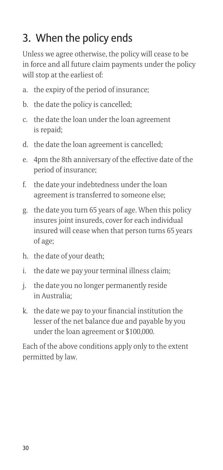#### 3. When the policy ends

Unless we agree otherwise, the policy will cease to be in force and all future claim payments under the policy will stop at the earliest of: **3. When the policy ends**<br>Unless we agree otherwise, the policy wi<br>in force and all future claim payments u<br>will stop at the earliest of:<br>a. the expiry of the period of insurance;<br>b. the date the policy is cancelled;<br>c. th **3. When the policy ends**<br>Unless we agree otherwise, the poli<br>in force and all future claim payme<br>will stop at the earliest of:<br>a. the expiry of the period of insur<br>b. the date the policy is cancelled;<br>c. the date the loan **3. When the policy ends**<br>
Unless we agree otherwise, the policy will cease<br>
in force and all future claim payments under th<br>
will stop at the earliest of:<br>
a. the expiry of the period of insurance;<br>
b. the date the policy **3. When the policy ends**<br>
Unless we agree otherwise, the policy will cea<br>
in force and all future claim payments under<br>
will stop at the earliest of:<br>
a. the expiry of the period of insurance;<br>
b. the date the policy is c **3. When the policy ends**<br>
Unless we agree otherwise, the policy will cease to be<br>
in force and all future claim payments under the polic<br>
will stop at the earliest of:<br>
a. the expiry of the period of insurance;<br>
b. the d

- 
- 
- is repaid;
- 
- period of insurance;
- agreement is transferred to someone else;
- **3. When the policy ends**<br>
Unless we agree otherwise, the policy will ceas<br>
in force and all future claim payments under t<br>
will stop at the earliest of:<br>
a. the expiry of the period of insurance;<br>
b. the date the policy i Unless we agree otherwise, the policy will cease to be<br>in force and all future claim payments under the polic<br>will stop at the earliest of:<br>a. the expiry of the period of insurance;<br>b. the date the policy is cancelled;<br>c. insures joint insureds, cover for each individual insured will cease when that person turns 65 years of age; b. the date the policy is c<br>
c. the date the loan unde<br>
is repaid;<br>
d. the date the loan agree<br>
e. 4pm the 8th anniversa<br>
period of insurance;<br>
f. the date your indebted<br>
agreement is transferr<br>
g. the date you turn 65 ye<br> c. the date the loan under the loan agreement<br>is repaid;<br>d. the date the loan agreement is cancelled;<br>e. 4pm the 8th anniversary of the effective dat<br>period of insurance;<br>f. the date your indebtedness under the loan<br>agree is repaid;<br>
d. the date the loan agreement is cancelled;<br>
e. 4pm the 8th anniversary of the effective da<br>
period of insurance;<br>
f. the date your indebtedness under the loan<br>
agreement is transferred to someone else;<br>
g. t e. 4pm the 8th anniversary of the effective date of<br>period of insurance;<br>f. the date your indebtedness under the loan<br>agreement is transferred to someone else;<br>g. the date you turn 65 years of age. When this pol<br>insures jo
- 
- 
- in Australia;
- lesser of the net balance due and payable by you under the loan agreement or \$100,000.

Each of the above conditions apply only to the extent permitted by law.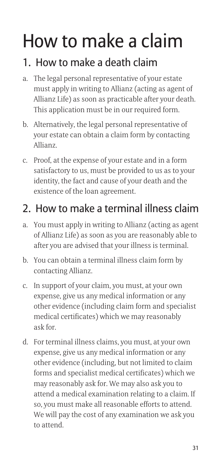## How to make a claim

#### 1. How to make a death claim

- How to make a death claim<br>
1. How to make a death claim<br>
a. The legal personal representative of your estate<br>
must apply in writing to Allianz (acting as agen<br>
Allianz Life) as soon as practicable after your de<br>
This appli must apply in writing to Allianz (acting as agent of Allianz Life) as soon as practicable after your death. This application must be in our required form. How to make a death claim<br>
1. How to make a death claim<br>
a. The legal personal representative of your estate<br>
must apply in writing to Allianz (acting as agent<br>
Allianz Life) as soon as practicable after your dea<br>
This app
- your estate can obtain a claim form by contacting Allianz.
- How to make a death claim<br>
1. How to make a death claim<br>
a. The legal personal representative of your estate<br>
must apply in writing to Allianz (acting as agent<br>
Allianz Life) as soon as practicable after your dea<br>
This app satisfactory to us, must be provided to us as to your identity, the fact and cause of your death and the existence of the loan agreement. a. The legal personal representative of your estate<br>must apply in writing to Allianz (acting as agent of<br>Allianz Life) as soon as practicable after your death.<br>This application must be in our required form.<br>b. Alternativel This application must be in our required form.<br>
This application must be in our required form.<br>
b. Alternatively, the legal personal representative your estate can obtain a claim form by contacti<br>
Allianz.<br>
c. Proof, at th

#### 2. How to make a terminal illness claim

- of Allianz Life) as soon as you are reasonably able to after you are advised that your illness is terminal.
- contacting Allianz.
- From the sum of your estate can obtain a claim form by contaction-<br>
In sum of Sulianz.<br>
C. Proof, at the expense of your estate and in a form<br>
statisfactory to us, must be provided to us as to y<br>
identity, the fact and cau expense, give us any medical information or any other evidence (including claim form and specialist medical certificates) which we may reasonably ask for.
- **2. How to make a terminal illness claim**<br> **2. How to make a terminal illness claims**<br> **2.** How to make a terminal illness claims, you must apply in writing to Allianz (acting as age of Allianz Life) as soon as you are rea expense, give us any medical information or any other evidence (including, but not limited to claim forms and specialist medical certificates) which we may reasonably ask for. We may also ask you to attend a medical examination relating to a claim. If so, you must make all reasonable efforts to attend. We will pay the cost of any examination we ask you to attend.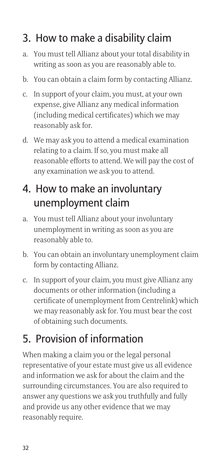#### 3. How to make a disability claim

- writing as soon as you are reasonably able to.
- 
- **3. How to make a disability claim**<br>a. You must tell Allianz about your total disability in<br>writing as soon as you are reasonably able to.<br>b. You can obtain a claim form by contacting Allianz<br>c. In support of your claim, y **3. How to make a disability claim**<br>a. You must tell Allianz about your total disability in<br>writing as soon as you are reasonably able to.<br>b. You can obtain a claim form by contacting Allianz.<br>c. In support of your claim, **3. How to make a disability claim**<br>a. You must tell Allianz about your total disability<br>writing as soon as you are reasonably able to.<br>b. You can obtain a claim form by contacting Allia<br>c. In support of your claim, you mu expense, give Allianz any medical information (including medical certificates) which we may reasonably ask for.
- **3. How to make a disability claim**<br>
a. You must tell Allianz about your total disability in<br>
writing as soon as you are reasonably able to.<br>
b. You can obtain a claim form by contacting Allianz<br>
c. In support of your cla relating to a claim. If so, you must make all reasonable efforts to attend. We will pay the cost of any examination we ask you to attend. writing as soon as you are reasonably able to<br>
b. You can obtain a claim form by contacting A<br>
c. In support of your claim, you must, at your o<br>
expense, give Allianz any medical information<br>
(including medical certificate

#### 4. How to make an involuntary unemployment claim

- unemployment in writing as soon as you are reasonably able to.
- form by contacting Allianz.
- Example the Allianz any medical information<br>
expense, give Allianz any medical information<br>
(including medical certificates) which we may<br>
reasonably ask for.<br>
d. We may ask you to attend a medical examination<br>
relating to reasonably ask for.<br>
d. We may ask you to attend a medical examination<br>
relating to a claim. If so, you must make all<br>
reasonable efforts to attend. We will pay the cost of<br>
any examination we ask you to attend.<br> **4. How t** documents or other information (including a certificate of unemployment from Centrelink) which we may reasonably ask for. You must bear the cost of obtaining such documents.

#### 5. Provision of information

When making a claim you or the legal personal representative of your estate must give us all evidence and information we ask for about the claim and the surrounding circumstances. You are also required to answer any questions we ask you truthfully and fully and provide us any other evidence that we may reasonably require.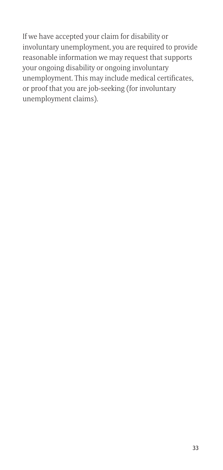If we have accepted your claim for disability or involuntary unemployment, you are required to provide reasonable information we may request that supports your ongoing disability or ongoing involuntary unemployment. This may include medical certificates, or proof that you are job-seeking (for involuntary unemployment claims).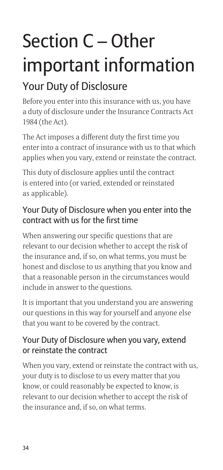## Section C – Other important information

#### Your Duty of Disclosure

Before you enter into this insurance with us, you have a duty of disclosure under the Insurance Contracts Act 1984 (the Act).

The Act imposes a different duty the first time you enter into a contract of insurance with us to that which applies when you vary, extend or reinstate the contract.

This duty of disclosure applies until the contract is entered into (or varied, extended or reinstated as applicable).

#### Your Duty of Disclosure when you enter into the contract with us for the first time

When answering our specific questions that are relevant to our decision whether to accept the risk of the insurance and, if so, on what terms, you must be honest and disclose to us anything that you know and that a reasonable person in the circumstances would include in answer to the questions.

It is important that you understand you are answering our questions in this way for yourself and anyone else that you want to be covered by the contract.

#### Your Duty of Disclosure when you vary, extend or reinstate the contract

When you vary, extend or reinstate the contract with us, your duty is to disclose to us every matter that you know, or could reasonably be expected to know, is relevant to our decision whether to accept the risk of the insurance and, if so, on what terms.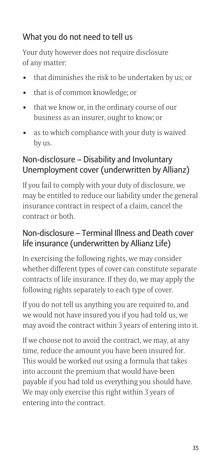#### What you do not need to tell us

Your duty however does not require disclosure of any matter: What you do not need to tell us<br>
Your duty however does not require<br>
of any matter:<br>
• that diminishes the risk to be un<br>
• that is of common knowledge; or<br>
• that we know or, in the ordinary<br>
business as an insurer, ought

- 
- 
- What you do not need to tell us<br>
Your duty however does not require disclosure<br>
of any matter:<br>
 that diminishes the risk to be undertaken by us; or<br>
 that is of common knowledge; or<br>
 that we know or, in the ordinary c business as an insurer, ought to know; or
- What you do not need to tell us<br>
Your duty however does not require disclosure<br>
of any matter:<br>
 that diminishes the risk to be undertaken by  $\cdot$ <br>
 that is of common knowledge; or<br>
 that we know or, in the ordinary cou by us.

# What you do not need to tell us<br>
Your duty however does not require disclosure<br>
of any matter:<br>
• that diminishes the risk to be undertaken by us;<br>
• that is of common knowledge; or<br>
• that we know or, in the ordinary cour Non-disclosure – Disability and Involuntary Unemployment cover (underwritten by Allianz)

If you fail to comply with your duty of disclosure, we may be entitled to reduce our liability under the general insurance contract in respect of a claim, cancel the contract or both.

#### Non-disclosure – Terminal Illness and Death cover life insurance (underwritten by Allianz Life)

In exercising the following rights, we may consider whether different types of cover can constitute separate contracts of life insurance. If they do, we may apply the following rights separately to each type of cover.

If you do not tell us anything you are required to, and we would not have insured you if you had told us, we may avoid the contract within 3 years of entering into it.

If we choose not to avoid the contract, we may, at any time, reduce the amount you have been insured for. This would be worked out using a formula that takes into account the premium that would have been payable if you had told us everything you should have. We may only exercise this right within 3 years of entering into the contract.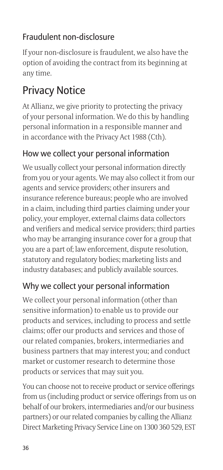#### Fraudulent non-disclosure

If your non-disclosure is fraudulent, we also have the option of avoiding the contract from its beginning at any time.

#### Privacy Notice

At Allianz, we give priority to protecting the privacy of your personal information. We do this by handling personal information in a responsible manner and in accordance with the Privacy Act 1988 (Cth).

#### How we collect your personal information

We usually collect your personal information directly from you or your agents. We may also collect it from our agents and service providers; other insurers and insurance reference bureaus; people who are involved in a claim, including third parties claiming under your policy, your employer, external claims data collectors and verifiers and medical service providers; third parties who may be arranging insurance cover for a group that you are a part of; law enforcement, dispute resolution, statutory and regulatory bodies; marketing lists and industry databases; and publicly available sources.

#### Why we collect your personal information

We collect your personal information (other than sensitive information) to enable us to provide our products and services, including to process and settle claims; offer our products and services and those of our related companies, brokers, intermediaries and business partners that may interest you; and conduct market or customer research to determine those products or services that may suit you.

You can choose not to receive product or service offerings from us (including product or service offerings from us on behalf of our brokers, intermediaries and/or our business partners) or our related companies by calling the Allianz Direct Marketing Privacy Service Line on 1300 360 529, EST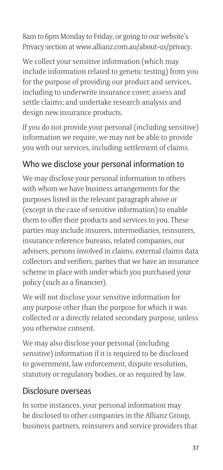8am to 6pm Monday to Friday, or going to our website's Privacy section at www.allianz.com.au/about-us/privacy.

We collect your sensitive information (which may include information related to genetic testing) from you for the purpose of providing our product and services, including to underwrite insurance cover; assess and settle claims; and undertake research analysis and design new insurance products.

If you do not provide your personal (including sensitive) information we require, we may not be able to provide you with our services, including settlement of claims.

#### Who we disclose your personal information to

We may disclose your personal information to others with whom we have business arrangements for the purposes listed in the relevant paragraph above or (except in the case of sensitive information) to enable them to offer their products and services to you. These parties may include insurers, intermediaries, reinsurers, insurance reference bureaus, related companies, our advisers, persons involved in claims, external claims data collectors and verifiers, parties that we have an insurance scheme in place with under which you purchased your policy (such as a financier).

We will not disclose your sensitive information for any purpose other than the purpose for which it was collected or a directly related secondary purpose, unless you otherwise consent.

We may also disclose your personal (including sensitive) information if it is required to be disclosed to government, law enforcement, dispute resolution, statutory or regulatory bodies, or as required by law.

#### Disclosure overseas

In some instances, your personal information may be disclosed to other companies in the Allianz Group, business partners, reinsurers and service providers that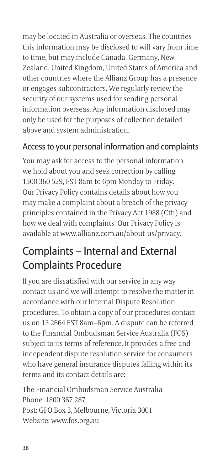may be located in Australia or overseas. The countries this information may be disclosed to will vary from time to time, but may include Canada, Germany, New Zealand, United Kingdom, United States of America and other countries where the Allianz Group has a presence or engages subcontractors. We regularly review the security of our systems used for sending personal information overseas. Any information disclosed may only be used for the purposes of collection detailed above and system administration.

#### Access to your personal information and complaints

You may ask for access to the personal information we hold about you and seek correction by calling 1300 360 529, EST 8am to 6pm Monday to Friday. Our Privacy Policy contains details about how you may make a complaint about a breach of the privacy principles contained in the Privacy Act 1988 (Cth) and how we deal with complaints. Our Privacy Policy is available at www.allianz.com.au/about-us/privacy.

#### Complaints – Internal and External Complaints Procedure

If you are dissatisfied with our service in any way contact us and we will attempt to resolve the matter in accordance with our Internal Dispute Resolution procedures. To obtain a copy of our procedures contact us on 13 2664 EST 8am–6pm. A dispute can be referred to the Financial Ombudsman Service Australia (FOS) subject to its terms of reference. It provides a free and independent dispute resolution service for consumers who have general insurance disputes falling within its terms and its contact details are:

The Financial Ombudsman Service Australia Phone: 1800 367 287 Post: GPO Box 3, Melbourne, Victoria 3001 Website: www.fos.org.au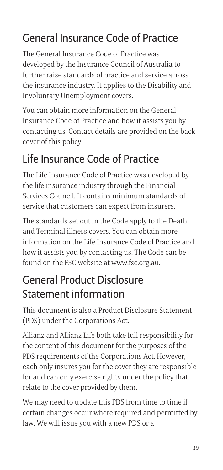#### General Insurance Code of Practice

The General Insurance Code of Practice was developed by the Insurance Council of Australia to further raise standards of practice and service across the insurance industry. It applies to the Disability and Involuntary Unemployment covers.

You can obtain more information on the General Insurance Code of Practice and how it assists you by contacting us. Contact details are provided on the back cover of this policy.

#### Life Insurance Code of Practice

The Life Insurance Code of Practice was developed by the life insurance industry through the Financial Services Council. It contains minimum standards of service that customers can expect from insurers.

The standards set out in the Code apply to the Death and Terminal illness covers. You can obtain more information on the Life Insurance Code of Practice and how it assists you by contacting us. The Code can be found on the FSC website at www.fsc.org.au.

#### General Product Disclosure Statement information

This document is also a Product Disclosure Statement (PDS) under the Corporations Act.

Allianz and Allianz Life both take full responsibility for the content of this document for the purposes of the PDS requirements of the Corporations Act. However, each only insures you for the cover they are responsible for and can only exercise rights under the policy that relate to the cover provided by them.

We may need to update this PDS from time to time if certain changes occur where required and permitted by law. We will issue you with a new PDS or a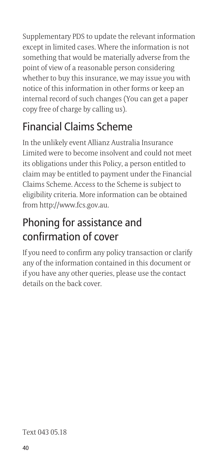Supplementary PDS to update the relevant information except in limited cases. Where the information is not something that would be materially adverse from the point of view of a reasonable person considering whether to buy this insurance, we may issue you with notice of this information in other forms or keep an internal record of such changes (You can get a paper copy free of charge by calling us).

#### Financial Claims Scheme

In the unlikely event Allianz Australia Insurance Limited were to become insolvent and could not meet its obligations under this Policy, a person entitled to claim may be entitled to payment under the Financial Claims Scheme. Access to the Scheme is subject to eligibility criteria. More information can be obtained from http://www.fcs.gov.au.

#### Phoning for assistance and confirmation of cover

If you need to confirm any policy transaction or clarify any of the information contained in this document or if you have any other queries, please use the contact details on the back cover.

#### Text 043 05.18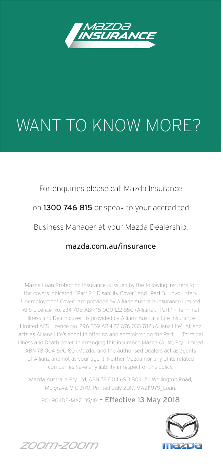

### WANT TO KNOW MORE?

For enquiries please call Mazda Insurance on 1300 746 815 or speak to your accredited Business Manager at your Mazda Dealership.

#### mazda.com.au/insurance

Mazda Loan Protection Insurance is issued by the following insurers for the covers indicated. "Part 2 – Disability Cover" and "Part 3 – Involuntary Unemployment Cover" are provided by Allianz Australia Insurance Limited AFS Licence No. 234 708 ABN 15 000 122 850 (Allianz). "Part 1 – Terminal Illness and Death cover" is provided by Allianz Australia Life Insurance Limited AFS Licence No. 296 559 ABN 27 076 033 782 (Allianz Life). Allianz acts as Allianz Life's agent in offering and administering the Part 1 – Terminal Illness and Death cover. In arranging this insurance Mazda (Aust) Pty. Limited ABN 78 004 690 80 (Mazda) and the authorised Dealers act as agents of Allianz and not as your agent. Neither Mazda nor any of its related companies have any liability in respect of this policy.

Mazda Australia Pty Ltd, ABN 78 004 690 804, 211 Wellington Road, Mulgrave, VIC 3170. Printed July 2017. MAZ11979\_Loan.

POL904DE/MAZ 05/18 - Effective 13 May 2018



*ZOOM-ZOOM*